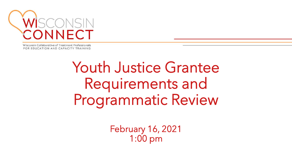

Wisconsin Collaborative of Treatment Professionals FOR EDUCATION AND CAPACITY TRAINING

# Youth Justice Grantee Requirements and Programmatic Review

February 16, 2021 1:00 pm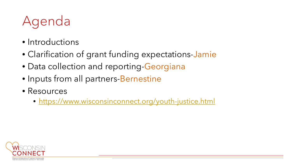# Agenda

- Introductions
- Clarification of grant funding expectations-Jamie
- Data collection and reporting-Georgiana
- Inputs from all partners-Bernestine
- Resources
	- <https://www.wisconsinconnect.org/youth-justice.html>

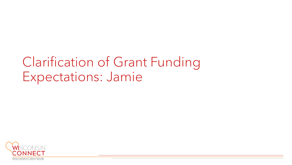#### Clarification of Grant Funding Expectations: Jamie

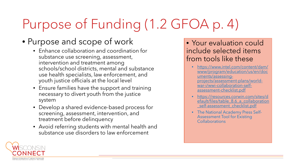# Purpose of Funding (1.2 GFOA p. 4)

#### • Purpose and scope of work

- Enhance collaboration and coordination for substance use screening, assessment, intervention and treatment among schools/school districts, mental and substance use health specialists, law enforcement, and youth justice officials at the local level
- Ensure families have the support and training necessary to divert youth from the justice system
- Develop a shared evidence-based process for screening, assessment, intervention, and treatment before delinquency
- Avoid referring students with mental health and substance use disorders to law enforcement
- Your evaluation could include selected items from tools like these
	- https://www.intel.com/content/dam/ [www/program/education/us/en/doc](https://www.intel.com/content/dam/www/program/education/us/en/documents/assessing-projects/assessment-plans/world-war-i/wwi-collaboration-self-assessment-checklist.pdf) uments/assessingprojects/assessment-plans/worldwar-i/wwi-collaboration-selfassessment-checklist.pdf
	- https://resources.corwin.com/sites/d [efault/files/table\\_8.6\\_a\\_collaboration](https://resources.corwin.com/sites/default/files/table_8.6_a_collaboration_self-assessment_checklist.pdf) self-assessment\_checklist.pdf
	- The National Academy Press Self-Assessment Tool for Existing Collaborations

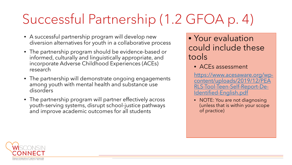# Successful Partnership (1.2 GFOA p. 4)

- A successful partnership program will develop new diversion alternatives for youth in a collaborative process
- The partnership program should be evidence-based or informed, culturally and linguistically appropriate, and incorporate Adverse Childhood Experiences (ACEs) research
- The partnership will demonstrate ongoing engagements among youth with mental health and substance use disorders
- The partnership program will partner effectively across youth-serving systems, disrupt school-justice pathways and improve academic outcomes for all students

• Your evaluation could include these tools

• ACEs assessment

[https://www.acesaware.org/wp](https://www.acesaware.org/wp-content/uploads/2019/12/PEARLS-Tool-Teen-Self-Report-De-Identified-English.pdf)content/uploads/2019/12/PEA RLS-Tool-Teen-Self-Report-De-Identified-English.pdf

• NOTE: You are not diagnosing (unless that is within your scope of practice)

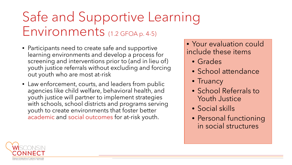# Safe and Supportive Learning Environments (1.2 GFOA p. 4-5)

- Participants need to create safe and supportive learning environments and develop a process for screening and interventions prior to (and in lieu of) youth justice referrals without excluding and forcing out youth who are most at-risk
- Law enforcement, courts, and leaders from public agencies like child welfare, behavioral health, and youth justice will partner to implement strategies with schools, school districts and programs serving youth to create environments that foster better academic and social outcomes for at-risk youth.
- Your evaluation could include these items
	- Grades
	- School attendance
	- Truancy
	- School Referrals to Youth Justice
	- Social skills
	- Personal functioning in social structures

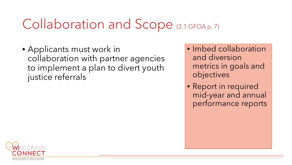# Collaboration and Scope (2.1 GFOA p. 7)

• Applicants must work in collaboration with partner agencies to implement a plan to divert youth justice referrals

• Imbed collaboration and diversion metrics in goals and objectives

• Report in required mid-year and annual performance reports

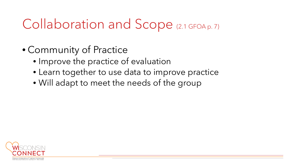# Collaboration and Scope (2.1 GFOA p. 7)

- Community of Practice
	- Improve the practice of evaluation
	- Learn together to use data to improve practice
	- Will adapt to meet the needs of the group

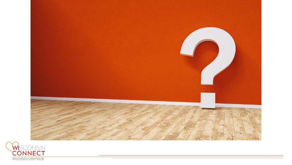

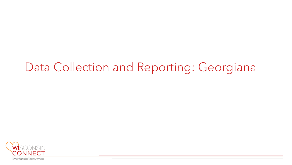#### Data Collection and Reporting: Georgiana

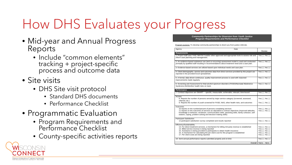# How DHS Evaluates your Progress

- Mid-year and Annual Progress Reports
	- Include "common elements"<br>tracking + project-specific process and outcome data
- Site visits
	- DHS Site visit protocol
		- Standard DHS documents
		- Performance Checklist
- Programmatic Evaluation
	- Program Requirements and Performance Checklist
	- County-specific activities reports

*Community Partnerships for Diversion from Youth Justice Program Requirements and Performance Checklist*

Program purpose: To develop community partnerships to divert you from justice referrals.

| Agency<br>Date                                                                                                                                                                                                                                                                                                                                                                            |                                                                                        |  |  |
|-------------------------------------------------------------------------------------------------------------------------------------------------------------------------------------------------------------------------------------------------------------------------------------------------------------------------------------------------------------------------------------------|----------------------------------------------------------------------------------------|--|--|
|                                                                                                                                                                                                                                                                                                                                                                                           | Review                                                                                 |  |  |
| <b>Requirements</b>                                                                                                                                                                                                                                                                                                                                                                       |                                                                                        |  |  |
| 1. Project staff uses YASI, MAYSI-2 and/or other approved and appropriate tools to assess risk and<br>inform case planning and management.                                                                                                                                                                                                                                                | Yes [ ] No [ ]                                                                         |  |  |
| 2. An evidence-based substance use (and co-occurring) assessment model is used and conducted<br>promptly by qualified staff resulting in recommendations about treatment need and a case plan.                                                                                                                                                                                            |                                                                                        |  |  |
| 3. Evidence-based services are utilized based upon individual needs and case plan.                                                                                                                                                                                                                                                                                                        | Yes [ ] No [ ]                                                                         |  |  |
| 4. Client demographic, service and outcomes data from direct services provided by this project are<br>reported in the provided Excel spreadsheet.                                                                                                                                                                                                                                         | Yes [ ] No [ ]                                                                         |  |  |
| 5. A formal, data-driven continuous, quality improvement process is used with reasoned<br>improvements made regularly.                                                                                                                                                                                                                                                                    | Yes[] No[]                                                                             |  |  |
| 6. Screening and Assessment for fetal alcohol spectrum disorders (FASD)/Neonatal Abstinence<br>Syndrome (NAS)/other health risks on track.                                                                                                                                                                                                                                                | Yes [ ] No [ ]                                                                         |  |  |
| Performance                                                                                                                                                                                                                                                                                                                                                                               |                                                                                        |  |  |
| 7. Contract objectives are SMART -- specific, measurable, achievable, relevant, time-bound                                                                                                                                                                                                                                                                                                | Yes [ ] No [ ]                                                                         |  |  |
| Access<br>8. Reports the number of persons served by major service category (screened, assessed,<br>referred, etc.)                                                                                                                                                                                                                                                                       | Yes[] No[]                                                                             |  |  |
| 9. Reports the number of youth screened for FASD, NAS, other health risks, and outcomes                                                                                                                                                                                                                                                                                                   | Yes [ ] No [ ]                                                                         |  |  |
| Outcomes<br>10. reports on the number/percent of persons completing services<br>11.reports on the outcomes of services as stipulated in contract objectives (improved attitudes,<br>knowledge or behavior; recidivism, communication skills, parenting skills, family cohesion, self-<br>esteem, coping, problem solving and decision-making skills)                                      |                                                                                        |  |  |
| <b>Participant Satisfaction</b><br>12.participant satisfaction survey completed and results reported                                                                                                                                                                                                                                                                                      | Yes[] No[]                                                                             |  |  |
| Efficiency/Sustainability<br>13. For direct treatment services, a mechanism for billing 3rd party revenue is established<br>14. Billed service revenue is being reported<br>15. Assistance is being provided to participants to obtain health insurance<br>16. A mechanism for calculating the per-client cost for this program is established<br>17. Per-client costs are being reported | Yes [ ] No [ ]<br>Yes [ ] No [ ]<br>Yes [ ] No [ ]<br>Yes [ ] No [ ]<br>Yes [ ] No [ ] |  |  |
| 18. Semi-annual performance reports submitted properly and on-time                                                                                                                                                                                                                                                                                                                        | Yes [ ] No [ ]                                                                         |  |  |
| Overall                                                                                                                                                                                                                                                                                                                                                                                   | Yes's<br>No's                                                                          |  |  |

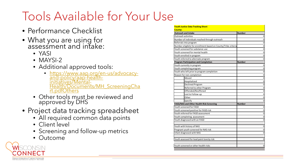### Tools Available for Your Use

- Performance Checklist
- What you are using for assessment and intake:
	- YASI
	- MAYSI-2
	- Additional approved tools:
		- https://www.aap.org/en-us/advocacy-<br>and-policy/aap-health-<br>initiatives/Mental-<br>[Health/Documents/MH\\_ScreeningCha](https://www.aap.org/en-us/advocacy-and-policy/aap-health-initiatives/Mental-Health/Documents/MH_ScreeningChart.pdfOthers) rt.pdfOthers
	- Other tools must be reviewed and approved by DHS
- Project data tracking spreadsheet
	- All required common data points
	- Client level
	- Screening and follow-up metrics
	- Outcome



| County:<br><b>Outreach and Intake</b><br><b>Number</b><br><b>Outreach activities</b><br>0<br>Number of individuals reached through outreach<br>0<br>0<br>Referrals into program<br>$\overline{0}$<br>Number eligibile for enrollment based on County/Tribe criteria<br>$\mathbf 0$<br>Youth screened for substance use<br>$\mathbf 0$<br>Youth screened for mental health<br>0<br>Youth enrolled in program<br>$\overline{0}$<br>Youth referred to alternate program<br><b>Program Participation and Completion</b><br>Number<br>Youth currently in program<br>0<br>0<br>Youth completing program<br>Youth who left prior to program completion<br>0<br>Reason for non-completion<br>0<br>Moved<br>0<br>Hospitalized<br>0<br>$\overline{0}$<br><b>Declined Program</b><br>0<br>Referred to other Program<br>0<br>Offended/Reoffened<br>$\mathbf 0$<br>Lost to Follow-up<br>0<br>Other<br>0<br>Specify |
|-------------------------------------------------------------------------------------------------------------------------------------------------------------------------------------------------------------------------------------------------------------------------------------------------------------------------------------------------------------------------------------------------------------------------------------------------------------------------------------------------------------------------------------------------------------------------------------------------------------------------------------------------------------------------------------------------------------------------------------------------------------------------------------------------------------------------------------------------------------------------------------------------------|
|                                                                                                                                                                                                                                                                                                                                                                                                                                                                                                                                                                                                                                                                                                                                                                                                                                                                                                       |
|                                                                                                                                                                                                                                                                                                                                                                                                                                                                                                                                                                                                                                                                                                                                                                                                                                                                                                       |
|                                                                                                                                                                                                                                                                                                                                                                                                                                                                                                                                                                                                                                                                                                                                                                                                                                                                                                       |
|                                                                                                                                                                                                                                                                                                                                                                                                                                                                                                                                                                                                                                                                                                                                                                                                                                                                                                       |
|                                                                                                                                                                                                                                                                                                                                                                                                                                                                                                                                                                                                                                                                                                                                                                                                                                                                                                       |
|                                                                                                                                                                                                                                                                                                                                                                                                                                                                                                                                                                                                                                                                                                                                                                                                                                                                                                       |
|                                                                                                                                                                                                                                                                                                                                                                                                                                                                                                                                                                                                                                                                                                                                                                                                                                                                                                       |
|                                                                                                                                                                                                                                                                                                                                                                                                                                                                                                                                                                                                                                                                                                                                                                                                                                                                                                       |
|                                                                                                                                                                                                                                                                                                                                                                                                                                                                                                                                                                                                                                                                                                                                                                                                                                                                                                       |
|                                                                                                                                                                                                                                                                                                                                                                                                                                                                                                                                                                                                                                                                                                                                                                                                                                                                                                       |
|                                                                                                                                                                                                                                                                                                                                                                                                                                                                                                                                                                                                                                                                                                                                                                                                                                                                                                       |
|                                                                                                                                                                                                                                                                                                                                                                                                                                                                                                                                                                                                                                                                                                                                                                                                                                                                                                       |
|                                                                                                                                                                                                                                                                                                                                                                                                                                                                                                                                                                                                                                                                                                                                                                                                                                                                                                       |
|                                                                                                                                                                                                                                                                                                                                                                                                                                                                                                                                                                                                                                                                                                                                                                                                                                                                                                       |
|                                                                                                                                                                                                                                                                                                                                                                                                                                                                                                                                                                                                                                                                                                                                                                                                                                                                                                       |
|                                                                                                                                                                                                                                                                                                                                                                                                                                                                                                                                                                                                                                                                                                                                                                                                                                                                                                       |
|                                                                                                                                                                                                                                                                                                                                                                                                                                                                                                                                                                                                                                                                                                                                                                                                                                                                                                       |
|                                                                                                                                                                                                                                                                                                                                                                                                                                                                                                                                                                                                                                                                                                                                                                                                                                                                                                       |
|                                                                                                                                                                                                                                                                                                                                                                                                                                                                                                                                                                                                                                                                                                                                                                                                                                                                                                       |
|                                                                                                                                                                                                                                                                                                                                                                                                                                                                                                                                                                                                                                                                                                                                                                                                                                                                                                       |
|                                                                                                                                                                                                                                                                                                                                                                                                                                                                                                                                                                                                                                                                                                                                                                                                                                                                                                       |
|                                                                                                                                                                                                                                                                                                                                                                                                                                                                                                                                                                                                                                                                                                                                                                                                                                                                                                       |
|                                                                                                                                                                                                                                                                                                                                                                                                                                                                                                                                                                                                                                                                                                                                                                                                                                                                                                       |
| FASD/NAS and Other Health Risk Screening<br><b>Number</b>                                                                                                                                                                                                                                                                                                                                                                                                                                                                                                                                                                                                                                                                                                                                                                                                                                             |
| Youth screened for FASD<br>0                                                                                                                                                                                                                                                                                                                                                                                                                                                                                                                                                                                                                                                                                                                                                                                                                                                                          |
| Youth screened positive for FASD risk<br>0                                                                                                                                                                                                                                                                                                                                                                                                                                                                                                                                                                                                                                                                                                                                                                                                                                                            |
| Youth referred for FASD assessment<br>0                                                                                                                                                                                                                                                                                                                                                                                                                                                                                                                                                                                                                                                                                                                                                                                                                                                               |
| 0<br>Youth completing assessment                                                                                                                                                                                                                                                                                                                                                                                                                                                                                                                                                                                                                                                                                                                                                                                                                                                                      |
| 0<br>Youth diagnosed with an FASD                                                                                                                                                                                                                                                                                                                                                                                                                                                                                                                                                                                                                                                                                                                                                                                                                                                                     |
|                                                                                                                                                                                                                                                                                                                                                                                                                                                                                                                                                                                                                                                                                                                                                                                                                                                                                                       |
| Youth with history of NAS<br>0                                                                                                                                                                                                                                                                                                                                                                                                                                                                                                                                                                                                                                                                                                                                                                                                                                                                        |
| Pregnant youth screened for NAS risk<br>0                                                                                                                                                                                                                                                                                                                                                                                                                                                                                                                                                                                                                                                                                                                                                                                                                                                             |
| Infant diagnosed with NAS<br>0                                                                                                                                                                                                                                                                                                                                                                                                                                                                                                                                                                                                                                                                                                                                                                                                                                                                        |
|                                                                                                                                                                                                                                                                                                                                                                                                                                                                                                                                                                                                                                                                                                                                                                                                                                                                                                       |
| 0<br>Youth assessed for lead paint toxicty risk                                                                                                                                                                                                                                                                                                                                                                                                                                                                                                                                                                                                                                                                                                                                                                                                                                                       |
|                                                                                                                                                                                                                                                                                                                                                                                                                                                                                                                                                                                                                                                                                                                                                                                                                                                                                                       |
| Youth screened or other health risks<br>0                                                                                                                                                                                                                                                                                                                                                                                                                                                                                                                                                                                                                                                                                                                                                                                                                                                             |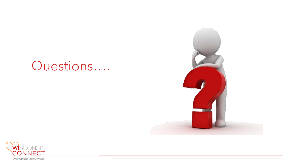#### Questions....



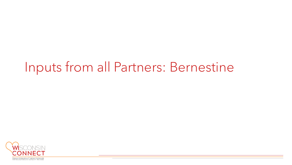#### Inputs from all Partners: Bernestine

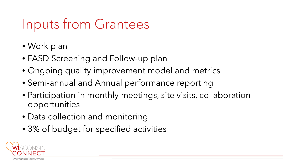# Inputs from Grantees

- Work plan
- FASD Screening and Follow-up plan
- Ongoing quality improvement model and metrics
- Semi-annual and Annual performance reporting
- Participation in monthly meetings, site visits, collaboration opportunities
- Data collection and monitoring
- 3% of budget for specified activities

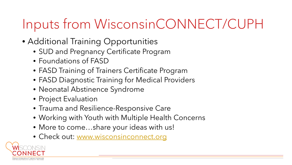# Inputs from WisconsinCONNECT/CUPH

- Additional Training Opportunities
	- SUD and Pregnancy Certificate Program
	- Foundations of FASD
	- FASD Training of Trainers Certificate Program
	- FASD Diagnostic Training for Medical Providers
	- Neonatal Abstinence Syndrome
	- Project Evaluation
	- Trauma and Resilience-Responsive Care
	- Working with Youth with Multiple Health Concerns
	- More to come…share your ideas with us!
	- Check out: [www.wisconsinconnect.org](http://www.wisconsinconnect.org/)

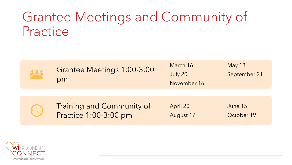### Grantee Meetings and Community of Practice

| Grantee Meetings 1:00-3:00<br>pm | March 16<br>July 20<br>November 16 | <b>May 18</b><br>September 21 |
|----------------------------------|------------------------------------|-------------------------------|
| <b>Training and Community of</b> | April 20                           | June 15                       |
| Practice 1:00-3:00 pm            | <b>August 17</b>                   | October 19                    |

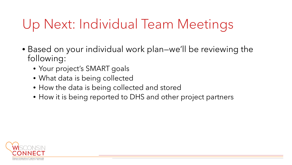# Up Next: Individual Team Meetings

- Based on your individual work plan—we'll be reviewing the following:
	- Your project's SMART goals
	- What data is being collected
	- How the data is being collected and stored
	- How it is being reported to DHS and other project partners